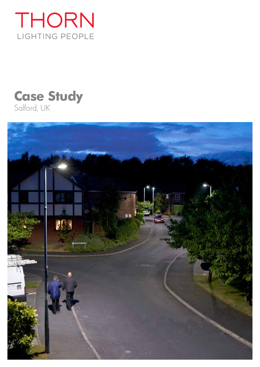

# **Case Study** Salford, UK

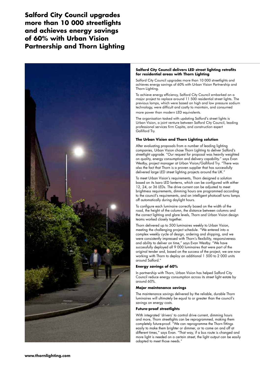**Salford City Council upgrades more than 10 000 streetlights and achieves energy savings of 60% with Urban Vision Partnership and Thorn Lighting**



#### **Salford City Council delivers LED street lighting retrofits for residential areas with Thorn Lighting**

Salford City Council upgrades more than 10 000 streetlights and achieves energy savings of 60% with Urban Vision Partnership and Thorn Lighting.

To achieve energy efficiency, Salford City Council embarked on a major project to replace around 11 500 residential street lights. The previous lamps, which were based on high and low pressure sodium technology, were difficult and costly to maintain, and consumed more power than modern LED equivalents.

The organisation tasked with updating Salford's street lights is Urban Vision, a joint venture between Salford City Council, leading professional services firm Capita, and construction expert Galliford Try.

## **The Urban Vision and Thorn Lighting solution**

After evaluating proposals from a number of leading lighting companies, Urban Vision chose Thorn Lighting to deliver Salford's streetlight upgrade. "Our request for proposal was heavily weighted on quality, energy consumption and delivery capability." says Evan Westby, project manager at Urban Vision/Galliford Try. "There was also the fact that Thorn is a proven supplier that has successfully delivered large LED street lighting projects around the UK."

To meet Urban Vision's requirements, Thorn designed a solution based on its Isaro LED lanterns, which can be configured with either 12, 24, or 36 LEDs. The drive current can be adjusted to meet brightness requirements, dimming hours are programmed according to the council's requirements, and an intelligent photocell turns lamps off automatically during daylight hours.

To configure each luminaire correctly based on the width of the road, the height of the column, the distance between columns and the correct lighting and glare levels, Thorn and Urban Vision design teams worked closely together.

Thorn delivered up to 500 luminaires weekly to Urban Vision, meeting the challenging project schedule. "We entered into a complex weekly cycle of design, ordering and shipping, and we were consistently impressed with Thorn's flexibility, responsiveness and ability to deliver on time," says Evan Westby. "We have successfully deployed all 9 000 luminaires that were part of the original tender and, based on the success of the project, we are now working with Thorn to deploy an additional 1 500 to 2 000 units around Salford."

## **Energy savings of 60%**

In partnership with Thorn, Urban Vision has helped Salford City Council reduce energy consumption across its street light estate by around 60%.

## **Major maintenance savings**

The maintenance savings delivered by the reliable, durable Thorn luminaires will ultimately be equal to or greater than the council's savings on energy costs.

## **Future-proof streetlights**

With integrated 'drivers' to control drive current, dimming hours and more, Thorn streetlights can be reprogrammed, making them completely future-proof. "We can reprogramme the Thorn fittings easily to make them brighter or dimmer, or to come on and off at different times," says Evan. "That way, if a bus route is changed and more light is needed on a certain street, the light output can be easily adapted to meet those needs."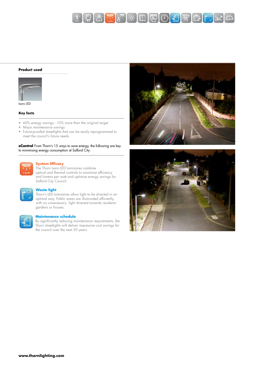

#### **Product used**



Isaro LED

### **Key facts**

- 60% energy savings 10% more than the original target
- Major maintenance savings
- Future-proofed streetlights that can be easily reprogrammed to meet the council's future needs

**eControl** From Thorn's 15 ways to save energy, the following are key to minimising energy consumption at Salford City:



#### **System Efficacy**

The Thorn Isaro LED luminaires combine optical and thermal controls to maximise efficiency and lumens per watt and optimise energy savings for Salford City Council.

# **Waste light**

Thorn's LED luminaires allow light to be directed in an optimal way. Public areas are illuminated efficiently, with no unnecessary light directed towards residents' gardens or houses.



#### **Maintenance schedule**

By significantly reducing maintenance requirements, the Thorn streetlights will deliver impressive cost savings for the council over the next 20 years.